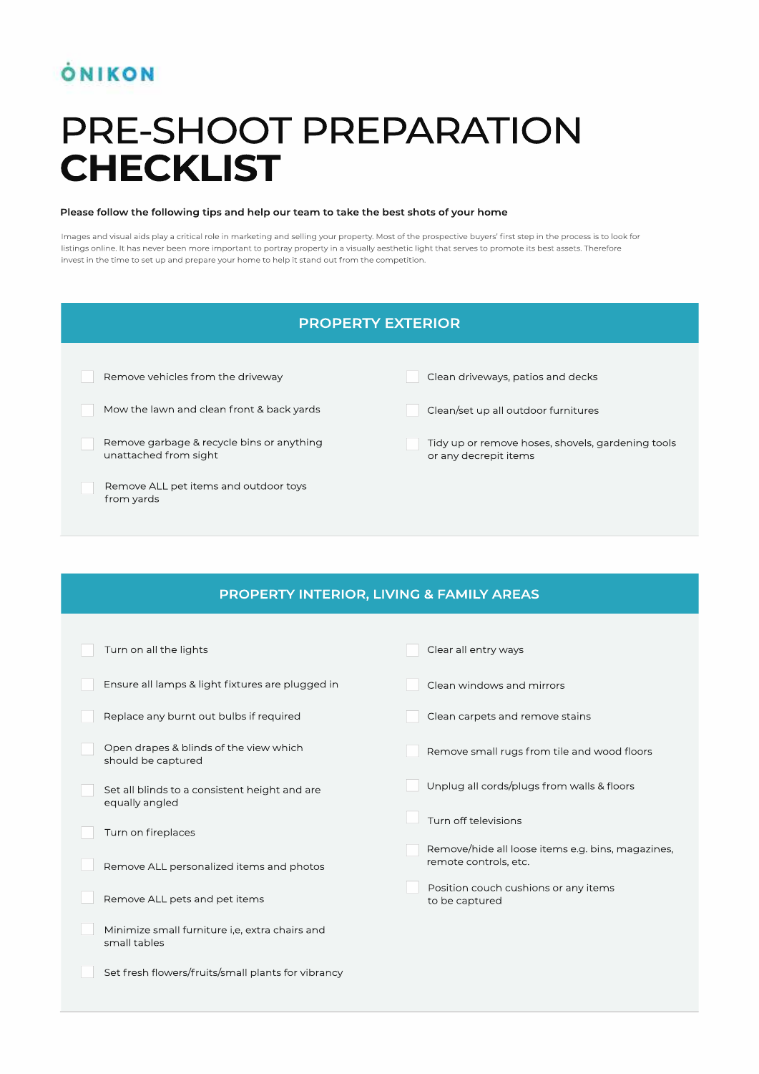## **ÓNIKON**

# PRE-SHOOT PREPARATION **CHECKLIST**

#### Please follow the following tips and help our team to take the best shots of your home

Images and visual aids play a critical role in marketing and selling your property. Most of the prospective buyers' first step in the process is to look for listings online. It has never been more important to portray property in a visually aesthetic light that serves to promote its best assets. Therefore invest in the time to set up and prepare your home to help it stand out from the competition.



#### **PROPERTY INTERIOR, LIVING & FAMILY AREAS**

| Turn on all the lights                                          | Clear all entry ways                                                       |
|-----------------------------------------------------------------|----------------------------------------------------------------------------|
| Ensure all lamps & light fixtures are plugged in                | Clean windows and mirrors                                                  |
| Replace any burnt out bulbs if required                         | Clean carpets and remove stains                                            |
| Open drapes & blinds of the view which<br>should be captured    | Remove small rugs from tile and wood floors                                |
| Set all blinds to a consistent height and are<br>equally angled | Unplug all cords/plugs from walls & floors                                 |
| Turn on fireplaces                                              | Turn off televisions                                                       |
| Remove ALL personalized items and photos                        | Remove/hide all loose items e.g. bins, magazines,<br>remote controls, etc. |
| Remove ALL pets and pet items                                   | Position couch cushions or any items<br>to be captured                     |
| Minimize small furniture i,e, extra chairs and<br>small tables  |                                                                            |
| Set fresh flowers/fruits/small plants for vibrancy              |                                                                            |